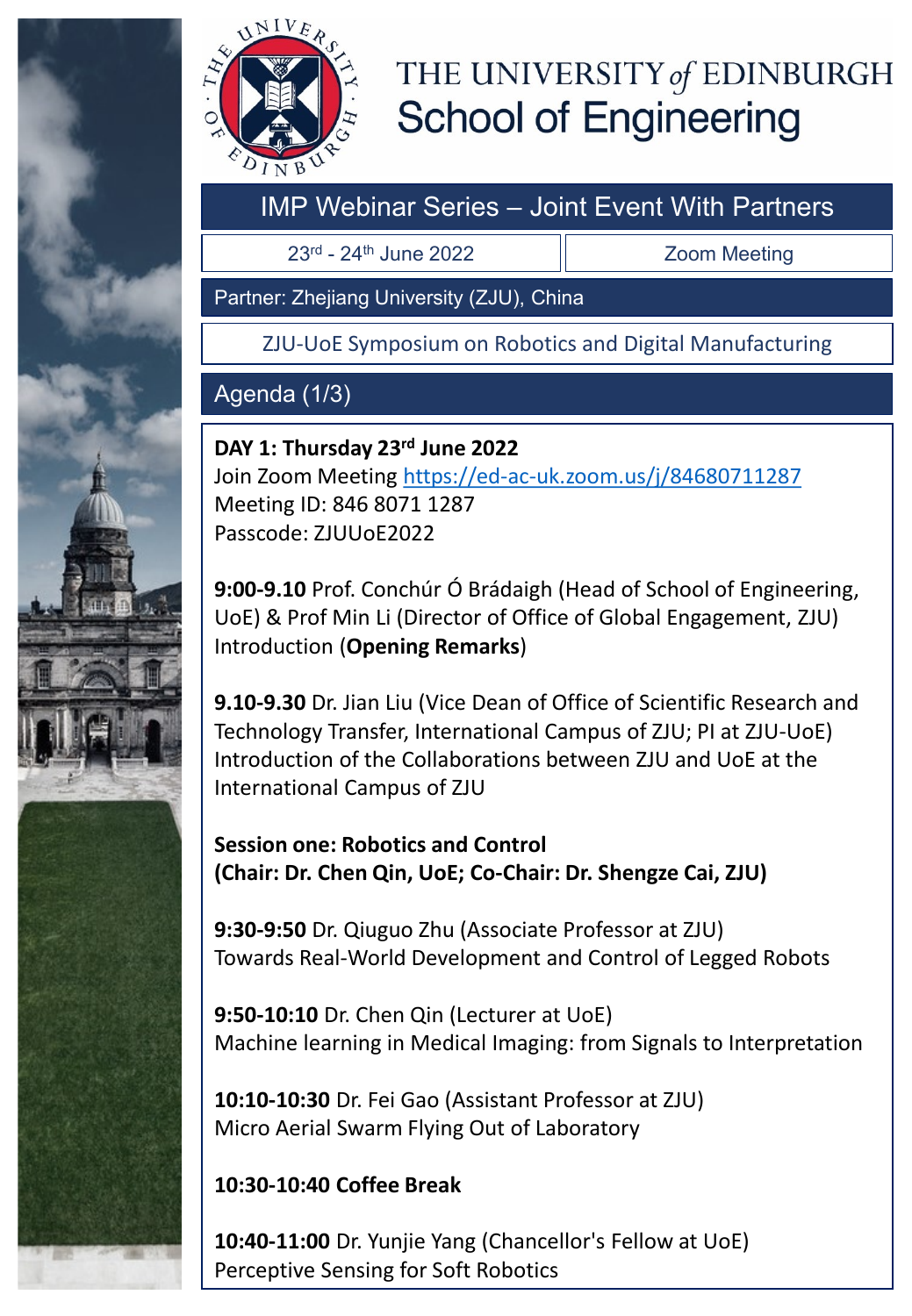



# THE UNIVERSITY of EDINBURGH **School of Engineering**

## IMP Webinar Series – Joint Event With Partners

23rd - 24th June 2022

Zoom Meeting

Partner: Zhejiang University (ZJU), China

ZJU-UoE Symposium on Robotics and Digital Manufacturing

### Agenda (1/3)

**DAY 1: Thursday 23rd June 2022** Join Zoom Meeting <https://ed-ac-uk.zoom.us/j/84680711287> Meeting ID: 846 8071 1287 Passcode: ZJUUoE2022

**9:00-9.10** Prof. Conchúr Ó Brádaigh (Head of School of Engineering, UoE) & Prof Min Li (Director of Office of Global Engagement, ZJU) Introduction (**Opening Remarks**)

**9.10-9.30** Dr. Jian Liu (Vice Dean of Office of Scientific Research and Technology Transfer, International Campus of ZJU; PI at ZJU-UoE) Introduction of the Collaborations between ZJU and UoE at the International Campus of ZJU

**Session one: Robotics and Control (Chair: Dr. Chen Qin, UoE; Co-Chair: Dr. Shengze Cai, ZJU)**

**9:30-9:50** Dr. Qiuguo Zhu (Associate Professor at ZJU) Towards Real-World Development and Control of Legged Robots

**9:50-10:10** Dr. Chen Qin (Lecturer at UoE) Machine learning in Medical Imaging: from Signals to Interpretation

**10:10-10:30** Dr. Fei Gao (Assistant Professor at ZJU) Micro Aerial Swarm Flying Out of Laboratory

#### **10:30-10:40 Coffee Break**

**10:40-11:00** Dr. Yunjie Yang (Chancellor's Fellow at UoE) Perceptive Sensing for Soft Robotics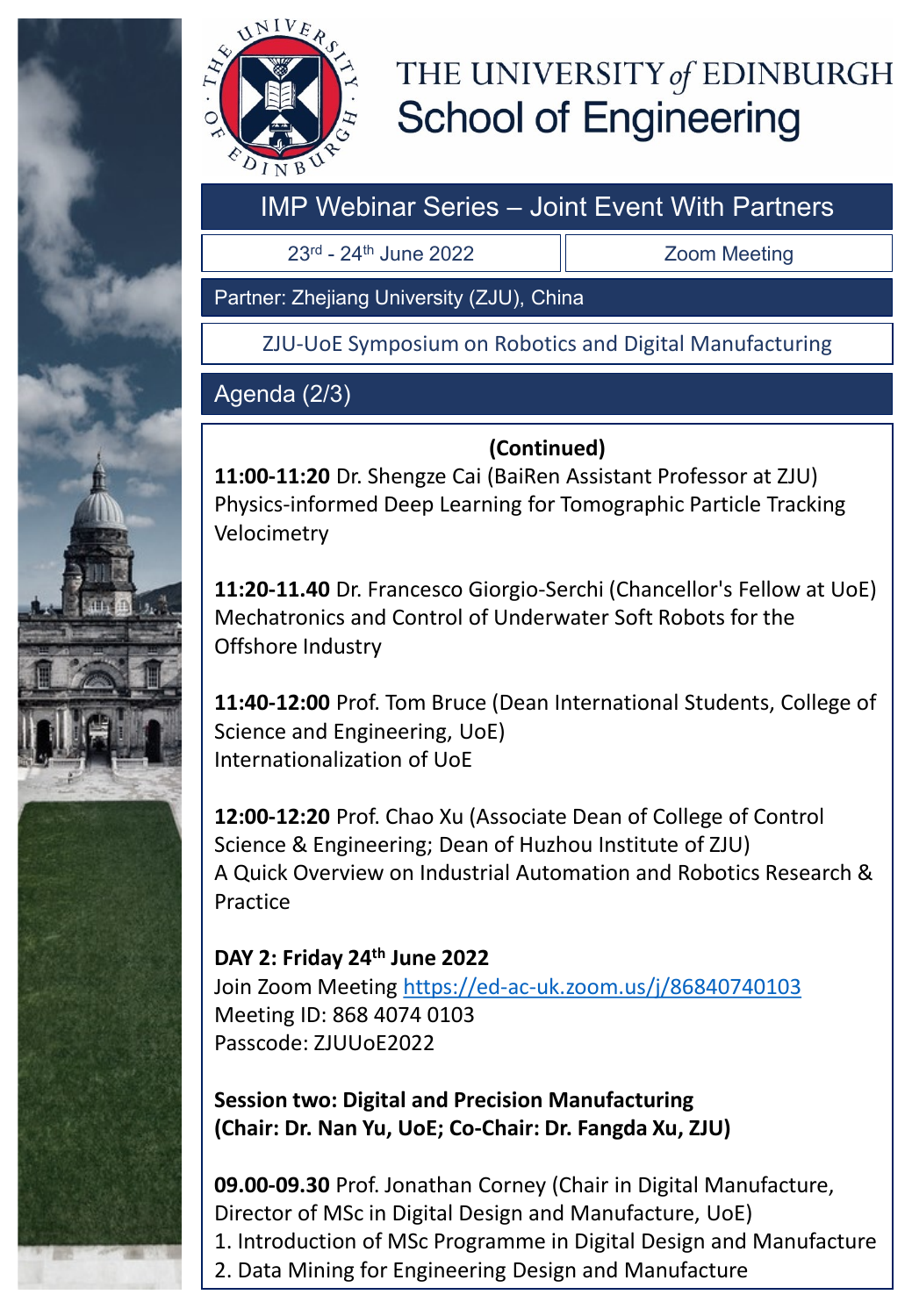



# THE UNIVERSITY of EDINBURGH **School of Engineering**

## IMP Webinar Series – Joint Event With Partners

 $23<sup>rd</sup>$  - 24<sup>th</sup> June 2022  $\parallel$  Zoom Meeting

Partner: Zhejiang University (ZJU), China

ZJU-UoE Symposium on Robotics and Digital Manufacturing

### Agenda (2/3)

#### **(Continued)**

**11:00-11:20** Dr. Shengze Cai (BaiRen Assistant Professor at ZJU) Physics-informed Deep Learning for Tomographic Particle Tracking Velocimetry

**11:20-11.40** Dr. Francesco Giorgio-Serchi (Chancellor's Fellow at UoE) Mechatronics and Control of Underwater Soft Robots for the Offshore Industry

**11:40-12:00** Prof. Tom Bruce (Dean International Students, College of Science and Engineering, UoE) Internationalization of UoE

**12:00-12:20** Prof. Chao Xu (Associate Dean of College of Control Science & Engineering; Dean of Huzhou Institute of ZJU) A Quick Overview on Industrial Automation and Robotics Research & Practice

**DAY 2: Friday 24th June 2022**  Join Zoom Meeting <https://ed-ac-uk.zoom.us/j/86840740103> Meeting ID: 868 4074 0103 Passcode: ZJUUoE2022

**Session two: Digital and Precision Manufacturing (Chair: Dr. Nan Yu, UoE; Co-Chair: Dr. Fangda Xu, ZJU)**

**09.00-09.30** Prof. Jonathan Corney (Chair in Digital Manufacture, Director of MSc in Digital Design and Manufacture, UoE) 1. Introduction of MSc Programme in Digital Design and Manufacture 2. Data Mining for Engineering Design and Manufacture